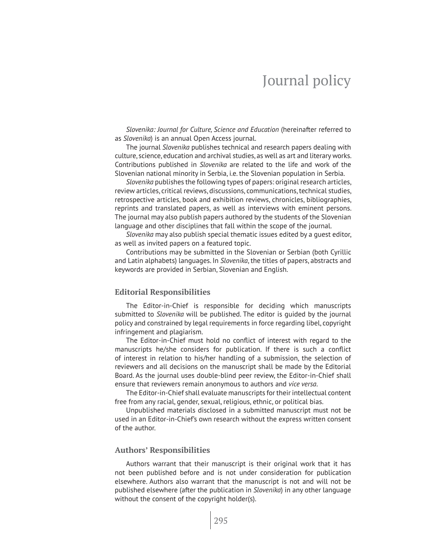*Slovenika: Journal for Culture, Science and Education* (hereinafter referred to as *Slovenika*) is an annual Open Access journal.

The journal *Slovenika* publishes technical and research papers dealing with culture, science, education and archival studies, as well as art and literary works. Contributions published in *Slovenika* are related to the life and work of the Slovenian national minority in Serbia, i.e. the Slovenian population in Serbia.

*Slovenika* publishes the following types of papers: original research articles, review articles, critical reviews, discussions, communications, technical studies, retrospective articles, book and exhibition reviews, chronicles, bibliographies, reprints and translated papers, as well as interviews with eminent persons. The journal may also publish papers authored by the students of the Slovenian language and other disciplines that fall within the scope of the journal.

*Slovenika* may also publish special thematic issues edited by a guest editor, as well as invited papers on a featured topic.

Contributions may be submitted in the Slovenian or Serbian (both Cyrillic and Latin alphabets) languages. In *Slovenika*, the titles of papers, abstracts and keywords are provided in Serbian, Slovenian and English.

# **Editorial Responsibilities**

The Editor-in-Chief is responsible for deciding which manuscripts submitted to *Slovenika* will be published. The editor is guided by the journal policy and constrained by legal requirements in force regarding libel, copyright infringement and plagiarism.

The Editor-in-Chief must hold no conflict of interest with regard to the manuscripts he/she considers for publication. If there is such a conflict of interest in relation to his/her handling of a submission, the selection of reviewers and all decisions on the manuscript shall be made by the Editorial Board. As the journal uses double-blind peer review, the Editor-in-Chief shall ensure that reviewers remain anonymous to authors and *vice versa*.

The Editor-in-Chief shall evaluate manuscripts for their intellectual content free from any racial, gender, sexual, religious, ethnic, or political bias.

Unpublished materials disclosed in a submitted manuscript must not be used in an Editor-in-Chief's own research without the express written consent of the author.

# **Authors' Responsibilities**

Authors warrant that their manuscript is their original work that it has not been published before and is not under consideration for publication elsewhere. Authors also warrant that the manuscript is not and will not be published elsewhere (after the publication in *Slovenika*) in any other language without the consent of the copyright holder(s).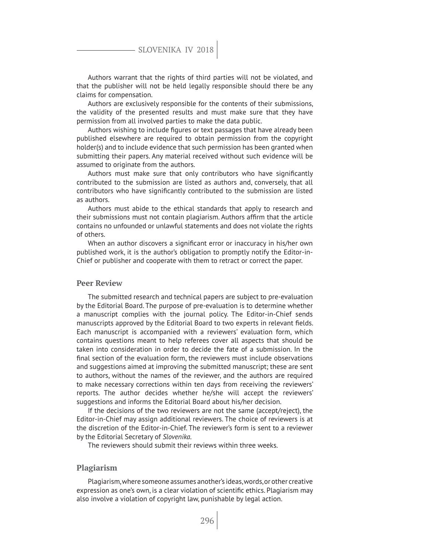Authors warrant that the rights of third parties will not be violated, and that the publisher will not be held legally responsible should there be any claims for compensation.

Authors are exclusively responsible for the contents of their submissions, the validity of the presented results and must make sure that they have permission from all involved parties to make the data public.

Authors wishing to include figures or text passages that have already been published elsewhere are required to obtain permission from the copyright holder(s) and to include evidence that such permission has been granted when submitting their papers. Any material received without such evidence will be assumed to originate from the authors.

Authors must make sure that only contributors who have significantly contributed to the submission are listed as authors and, conversely, that all contributors who have significantly contributed to the submission are listed as authors.

Authors must abide to the ethical standards that apply to research and their submissions must not contain plagiarism. Authors affirm that the article contains no unfounded or unlawful statements and does not violate the rights of others.

When an author discovers a significant error or inaccuracy in his/her own published work, it is the author's obligation to promptly notify the Editor-in-Chief or publisher and cooperate with them to retract or correct the paper.

# **Peer Review**

The submitted research and technical papers are subject to pre-evaluation by the Editorial Board. The purpose of pre-evaluation is to determine whether a manuscript complies with the journal policy. The Editor-in-Chief sends manuscripts approved by the Editorial Board to two experts in relevant fields. Each manuscript is accompanied with a reviewers' evaluation form, which contains questions meant to help referees cover all aspects that should be taken into consideration in order to decide the fate of a submission. In the final section of the evaluation form, the reviewers must include observations and suggestions aimed at improving the submitted manuscript; these are sent to authors, without the names of the reviewer, and the authors are required to make necessary corrections within ten days from receiving the reviewers' reports. The author decides whether he/she will accept the reviewers' suggestions and informs the Editorial Board about his/her decision.

If the decisions of the two reviewers are not the same (accept/reject), the Editor-in-Chief may assign additional reviewers. The choice of reviewers is at the discretion of the Editor-in-Chief. The reviewer's form is sent to a reviewer by the Editorial Secretary of *Slovenika*.

The reviewers should submit their reviews within three weeks.

# **Plagiarism**

Plagiarism, where someone assumes another's ideas, words, or other creative expression as one's own, is a clear violation of scientific ethics. Plagiarism may also involve a violation of copyright law, punishable by legal action.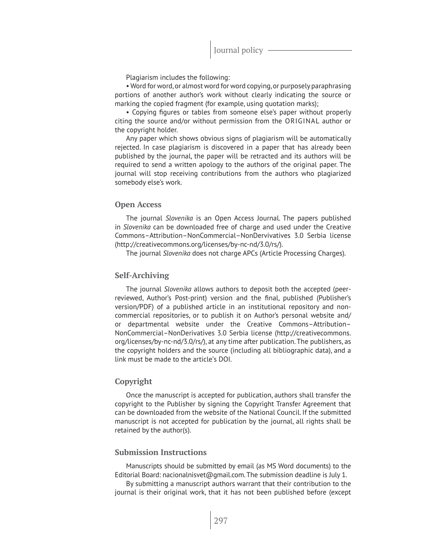Plagiarism includes the following:

• Word for word, or almost word for word copying, or purposely paraphrasing portions of another author's work without clearly indicating the source or marking the copied fragment (for example, using quotation marks);

• Copying figures or tables from someone else's paper without properly citing the source and/or without permission from the ORIGINAL author or the copyright holder.

Any paper which shows obvious signs of plagiarism will be automatically rejected. In case plagiarism is discovered in a paper that has already been published by the journal, the paper will be retracted and its authors will be required to send a written apology to the authors of the original paper. The journal will stop receiving contributions from the authors who plagiarized somebody else's work.

# **Open Access**

The journal *Slovenika* is an Open Access Journal. The papers published in *Slovenika* can be downloaded free of charge and used under the Creative Commons–Attribution–NonCommercial–NonDervivatives 3.0 Serbia license (http://creativecommons.org/licenses/by-nc-nd/3.0/rs/).

The journal *Slovenika* does not charge APCs (Article Processing Charges).

# **Self-Archiving**

The journal *Slovenika* allows authors to deposit both the accepted (peerreviewed, Author's Post-print) version and the final, published (Publisher's version/PDF) of a published article in an institutional repository and noncommercial repositories, or to publish it on Author's personal website and/ or departmental website under the Creative Commons–Attribution– NonCommercial–NonDerivatives 3.0 Serbia license (http://creativecommons. org/licenses/by-nc-nd/3.0/rs/), at any time after publication. The publishers, as the copyright holders and the source (including all bibliographic data), and a link must be made to the article's DOI.

# **Copyright**

Once the manuscript is accepted for publication, authors shall transfer the copyright to the Publisher by signing the Copyright Transfer Agreement that can be downloaded from the website of the National Council. If the submitted manuscript is not accepted for publication by the journal, all rights shall be retained by the author(s).

# **Submission Instructions**

Manuscripts should be submitted by email (as MS Word documents) to the Editorial Board: nacionalnisvet@gmail.com. The submission deadline is July 1.

By submitting a manuscript authors warrant that their contribution to the journal is their original work, that it has not been published before (except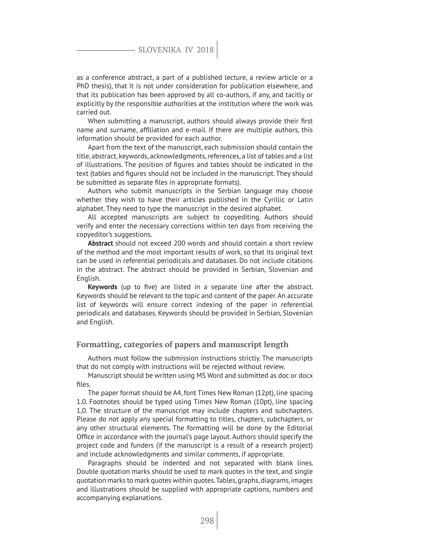# SLOVENIKA IV 2018

as a conference abstract, a part of a published lecture, a review article or a PhD thesis), that it is not under consideration for publication elsewhere, and that its publication has been approved by all co-authors, if any, and tacitly or explicitly by the responsible authorities at the institution where the work was carried out.

When submitting a manuscript, authors should always provide their first name and surname, affiliation and e-mail. If there are multiple authors, this information should be provided for each author.

Apart from the text of the manuscript, each submission should contain the title, abstract, keywords, acknowledgments, references, a list of tables and a list of illustrations. The position of figures and tables should be indicated in the text (tables and figures should not be included in the manuscript. They should be submitted as separate files in appropriate formats).

Authors who submit manuscripts in the Serbian language may choose whether they wish to have their articles published in the Cyrillic or Latin alphabet. They need to type the manuscript in the desired alphabet.

All accepted manuscripts are subject to copyediting. Authors should verify and enter the necessary corrections within ten days from receiving the copyeditor's suggestions.

**Abstract** should not exceed 200 words and should contain a short review of the method and the most important results of work, so that its original text can be used in referential periodicals and databases. Do not include citations in the abstract. The abstract should be provided in Serbian, Slovenian and English.

**Keywords** (up to five) are listed in a separate line after the abstract. Keywords should be relevant to the topic and content of the paper. An accurate list of keywords will ensure correct indexing of the paper in referential periodicals and databases. Keywords should be provided in Serbian, Slovenian and English.

# **Formatting, categories of papers and manuscript length**

Authors must follow the submission instructions strictly. The manuscripts that do not comply with instructions will be rejected without review.

Manuscript should be written using MS Word and submitted as doc or docx files.

The paper format should be A4, font Times New Roman (12pt), line spacing 1.0. Footnotes should be typed using Times New Roman (10pt), line spacing 1,0. The structure of the manuscript may include chapters and subchapters. Please do not apply any special formatting to titles, chapters, subchapters, or any other structural elements. The formatting will be done by the Editorial Office in accordance with the journal's page layout. Authors should specify the project code and funders (if the manuscript is a result of a research project) and include acknowledgments and similar comments, if appropriate.

Paragraphs should be indented and not separated with blank lines. Double quotation marks should be used to mark quotes in the text, and single quotation marks to mark quotes within quotes. Tables, graphs, diagrams, images and illustrations should be supplied with appropriate captions, numbers and accompanying explanations.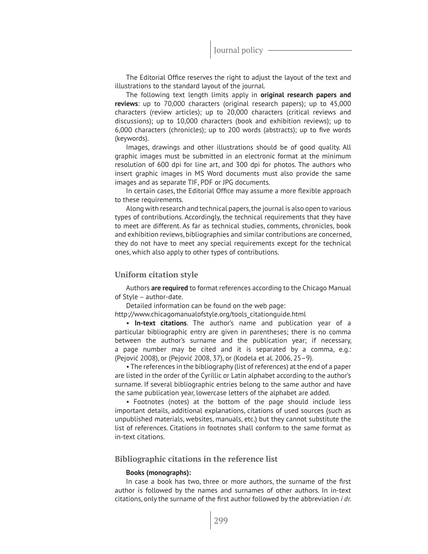The Editorial Office reserves the right to adjust the layout of the text and illustrations to the standard layout of the journal.

The following text length limits apply in **original research papers and reviews**: up to 70,000 characters (original research papers); up to 45,000 characters (review articles); up to 20,000 characters (critical reviews and discussions); up to 10,000 characters (book and exhibition reviews); up to 6,000 characters (chronicles); up to 200 words (abstracts); up to five words (keywords).

Images, drawings and other illustrations should be of good quality. All graphic images must be submitted in an electronic format at the minimum resolution of 600 dpi for line art, and 300 dpi for photos. The authors who insert graphic images in MS Word documents must also provide the same images and as separate TIF, PDF or JPG documents.

In certain cases, the Editorial Office may assume a more flexible approach to these requirements.

Along with research and technical papers, the journal is also open to various types of contributions. Accordingly, the technical requirements that they have to meet are different. As far as technical studies, comments, chronicles, book and exhibition reviews, bibliographies and similar contributions are concerned, they do not have to meet any special requirements except for the technical ones, which also apply to other types of contributions.

# **Uniform citation style**

Authors **are required** to format references according to the Chicago Manual of Style – author-date.

Detailed information can be found on the web page:

http://www.chicagomanualofstyle.org/tools\_citationguide.html

• **In-text citations**. The author's name and publication year of a particular bibliographic entry are given in parentheses; there is no comma between the author's surname and the publication year; if necessary, a page number may be cited and it is separated by a comma, e.g.: (Pejović 2008), or (Pejović 2008, 37), or (Kodela et al. 2006, 25–9).

• The references in the bibliography (list of references) at the end of a paper are listed in the order of the Cyrillic or Latin alphabet according to the author's surname. If several bibliographic entries belong to the same author and have the same publication year, lowercase letters of the alphabet are added.

• Footnotes (notes) at the bottom of the page should include less important details, additional explanations, citations of used sources (such as unpublished materials, websites, manuals, etc.) but they cannot substitute the list of references. Citations in footnotes shall conform to the same format as in-text citations.

#### **Bibliographic citations in the reference list**

#### **Books (monographs):**

In case a book has two, three or more authors, the surname of the first author is followed by the names and surnames of other authors. In in-text citations, only the surname of the first author followed by the abbreviation *i dr.*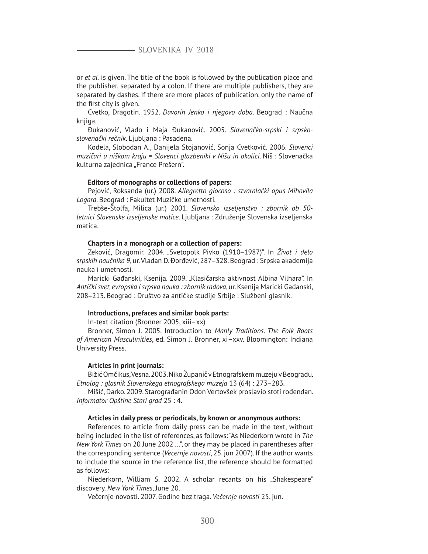SLOVENIKA IV 2018

or *et al.* is given. The title of the book is followed by the publication place and the publisher, separated by a colon. If there are multiple publishers, they are separated by dashes. If there are more places of publication, only the name of the first city is given.

Cvetko, Dragotin. 1952. *Davorin Jenko i njegovo doba*. Beograd : Naučna knjiga.

Đukanović, Vlado i Maja Đukanović. 2005. *Slovenačko-srpski i srpskoslovenački rečnik*. Ljubljana : Pasadena.

Kodela, Slobodan A., Danijela Stojanović, Sonja Cvetković. 2006. *Slovenci muzičari u niškom kraju = Slovenci glazbeniki v Nišu in okolici*. Niš : Slovenačka kulturna zajednica "France Prešern".

#### **Editors of monographs or collections of papers:**

Pejović, Roksanda (ur.) 2008. *Allegretto giocoso : stvaralački opus Mihovila Logara*. Beograd : Fakultet Muzičke umetnosti.

Trebše-Štolfa, Milica (ur.) 2001. *Slovensko izseljenstvo : zbornik ob 50 letnici Slovenske izseljenske matice*. Ljubljana : Združenje Slovenska izseljenska matica.

# **Chapters in a monograph or a collection of papers:**

Zeković, Dragomir. 2004. "Svetopolk Pivko (1910‒1987)". In *Život i delo srpskih naučnika 9*, ur. Vladan D. Đorđević, 287‒328. Beograd : Srpska akademija nauka i umetnosti.

Maricki Gađanski, Ksenija. 2009. "Klasičarska aktivnost Albina Vilhara". In *Antički svet, evropska i srpska nauka : zbornik radova*, ur. Ksenija Maricki Gađanski, 208‒213. Beograd : Društvo za antičke studije Srbije : Službeni glasnik.

#### **Introductions, prefaces and similar book parts:**

In-text citation (Bronner 2005, xiii–xx)

Bronner, Simon J. 2005. Introduction to *Manly Traditions. The Folk Roots of American Masculinities*, ed. Simon J. Bronner, xi–xxv. Bloomington: Indiana University Press.

# **Articles in print journals:**

Bižić Omčikus, Vesna. 2003. Niko Županič v Etnografskem muzeju v Beogradu. *Etnolog : glasnik Slovenskega etnografskega muzeja* 13 (64) : 273‒283.

Mišić, Darko. 2009. Starograđanin Odon Vertovšek proslavio stoti rođendan. *Informator Opštine Stari grad* 25 : 4.

#### **Articles in daily press or periodicals, by known or anonymous authors:**

References to article from daily press can be made in the text, without being included in the list of references, as follows: "As Niederkorn wrote in *The New York Times* on 20 June 2002 ...", or they may be placed in parentheses after the corresponding sentence (*Vecernje novosti*, 25. jun 2007). If the author wants to include the source in the reference list, the reference should be formatted as follows:

Niederkorn, William S. 2002. A scholar recants on his "Shakespeare" discovery. *New York Times*, June 20.

Večernje novosti. 2007. Godine bez traga. *Večernje novosti* 25. jun.